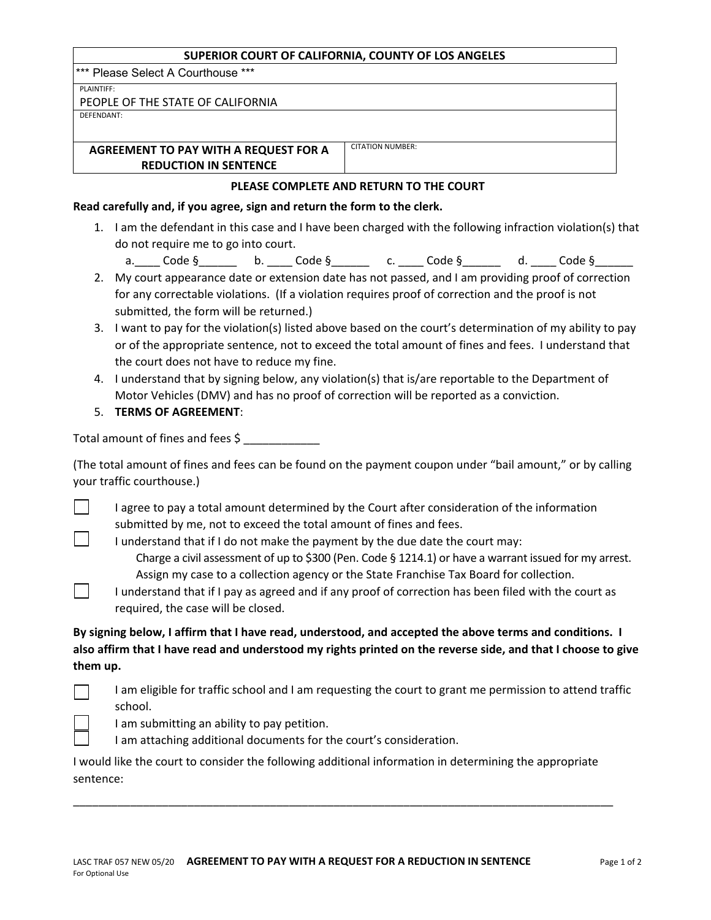#### **SUPERIOR COURT OF CALIFORNIA, COUNTY OF LOS ANGELES**

\*\*\* Please Select A Courthouse \*\*\*

PLAINTIFF:

| PEOPLE OF THE STATE OF CALIFORNIA |  |  |
|-----------------------------------|--|--|
|-----------------------------------|--|--|

DEFENDANT:

**AGREEMENT TO PAY WITH A REQUEST FOR A REDUCTION IN SENTENCE**

CITATION NUMBER:

## **PLEASE COMPLETE AND RETURN TO THE COURT**

#### **Read carefully and, if you agree, sign and return the form to the clerk.**

- 1. I am the defendant in this case and I have been charged with the following infraction violation(s) that do not require me to go into court.
	- a.\_\_\_\_\_ Code §\_\_\_\_\_\_\_\_\_\_ b. \_\_\_\_\_ Code §\_\_\_\_\_\_\_\_\_ c. \_\_\_\_\_ Code §\_\_\_\_\_\_\_\_ d. \_\_\_\_\_ Code §\_
- 2. My court appearance date or extension date has not passed, and I am providing proof of correction for any correctable violations. (If a violation requires proof of correction and the proof is not submitted, the form will be returned.)
- 3. I want to pay for the violation(s) listed above based on the court's determination of my ability to pay or of the appropriate sentence, not to exceed the total amount of fines and fees. I understand that the court does not have to reduce my fine.
- 4. I understand that by signing below, any violation(s) that is/are reportable to the Department of Motor Vehicles (DMV) and has no proof of correction will be reported as a conviction.
- 5. **TERMS OF AGREEMENT**:

Total amount of fines and fees \$

(The total amount of fines and fees can be found on the payment coupon under "bail amount," or by calling your traffic courthouse.)

I agree to pay a total amount determined by the Court after consideration of the information submitted by me, not to exceed the total amount of fines and fees.

I understand that if I do not make the payment by the due date the court may: Charge a civil assessment of up to \$300 (Pen. Code  $\S$  1214.1) or have a warrant issued for my arrest. Assign my case to a collection agency or the State Franchise Tax Board for collection.

I understand that if I pay as agreed and if any proof of correction has been filed with the court as required, the case will be closed.

# **By signing below, I affirm that I have read, understood, and accepted the above terms and conditions. I also affirm that I have read and understood my rights printed on the reverse side, and that I choose to give them up.**

I am eligible for traffic school and I am requesting the court to grant me permission to attend traffic school.

I am submitting an ability to pay petition.

I am attaching additional documents for the court's consideration.

I would like the court to consider the following additional information in determining the appropriate sentence:

\_\_\_\_\_\_\_\_\_\_\_\_\_\_\_\_\_\_\_\_\_\_\_\_\_\_\_\_\_\_\_\_\_\_\_\_\_\_\_\_\_\_\_\_\_\_\_\_\_\_\_\_\_\_\_\_\_\_\_\_\_\_\_\_\_\_\_\_\_\_\_\_\_\_\_\_\_\_\_\_\_\_\_\_\_